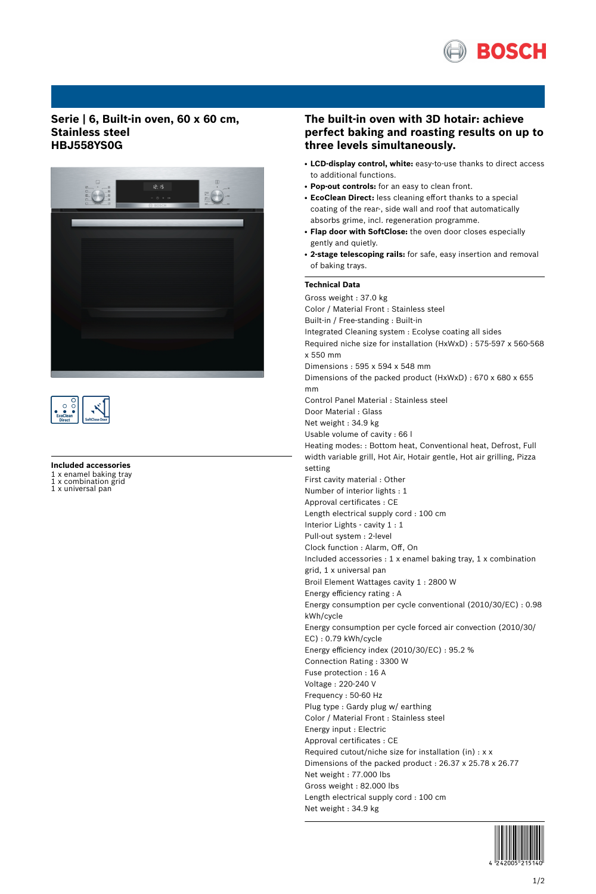

### **Serie | 6, Built-in oven, 60 x 60 cm, Stainless steel HBJ558YS0G**





#### **Included accessories**

1 x enamel baking tray<br>1 x combination grid x combination grid

1 x universal pan

## **The built-in oven with 3D hotair: achieve perfect baking and roasting results on up to three levels simultaneously.**

- **LCD-display control, white:** easy-to-use thanks to direct access to additional functions.
- **Pop-out controls:** for an easy to clean front.
- **EcoClean Direct:** less cleaning effort thanks to a special coating of the rear-, side wall and roof that automatically absorbs grime, incl. regeneration programme.
- **Flap door with SoftClose:** the oven door closes especially gently and quietly.
- **2-stage telescoping rails:** for safe, easy insertion and removal of baking trays.

#### **Technical Data**

Gross weight : 37.0 kg Color / Material Front : Stainless steel Built-in / Free-standing : Built-in Integrated Cleaning system : Ecolyse coating all sides Required niche size for installation (HxWxD) : 575-597 x 560-568 x 550 mm Dimensions : 595 x 594 x 548 mm Dimensions of the packed product (HxWxD) : 670 x 680 x 655 mm Control Panel Material : Stainless steel Door Material : Glass Net weight : 34.9 kg Usable volume of cavity : 66 l Heating modes: : Bottom heat, Conventional heat, Defrost, Full width variable grill, Hot Air, Hotair gentle, Hot air grilling, Pizza setting First cavity material : Other Number of interior lights : 1 Approval certificates : CE Length electrical supply cord : 100 cm Interior Lights - cavity 1 : 1 Pull-out system : 2-level Clock function : Alarm, Off, On Included accessories : 1 x enamel baking tray, 1 x combination grid, 1 x universal pan Broil Element Wattages cavity 1 : 2800 W Energy efficiency rating : A Energy consumption per cycle conventional (2010/30/EC) : 0.98 kWh/cycle Energy consumption per cycle forced air convection (2010/30/ EC) : 0.79 kWh/cycle Energy efficiency index (2010/30/EC) : 95.2 % Connection Rating : 3300 W Fuse protection : 16 A Voltage : 220-240 V Frequency : 50-60 Hz Plug type : Gardy plug w/ earthing Color / Material Front : Stainless steel Energy input : Electric Approval certificates : CE Required cutout/niche size for installation (in) : x x Dimensions of the packed product : 26.37 x 25.78 x 26.77 Net weight : 77.000 lbs Gross weight : 82.000 lbs Length electrical supply cord : 100 cm Net weight : 34.9 kg